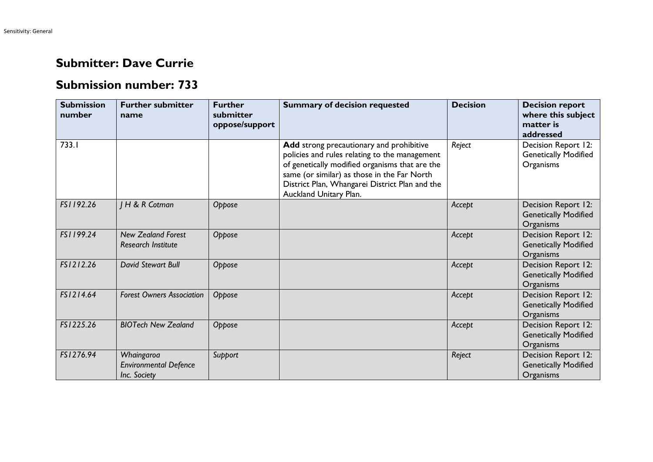## **Submitter: Dave Currie**

## **Submission number: 733**

| <b>Submission</b><br>number | <b>Further submitter</b><br>name                           | <b>Further</b><br>submitter<br>oppose/support | <b>Summary of decision requested</b>                                                                                                                                                                                                                                   | <b>Decision</b> | <b>Decision report</b><br>where this subject<br>matter is<br>addressed |
|-----------------------------|------------------------------------------------------------|-----------------------------------------------|------------------------------------------------------------------------------------------------------------------------------------------------------------------------------------------------------------------------------------------------------------------------|-----------------|------------------------------------------------------------------------|
| 733.I                       |                                                            |                                               | Add strong precautionary and prohibitive<br>policies and rules relating to the management<br>of genetically modified organisms that are the<br>same (or similar) as those in the Far North<br>District Plan, Whangarei District Plan and the<br>Auckland Unitary Plan. | Reject          | Decision Report 12:<br><b>Genetically Modified</b><br>Organisms        |
| FS1192.26                   | <b>IH &amp; R Cotman</b>                                   | Oppose                                        |                                                                                                                                                                                                                                                                        | Accept          | Decision Report 12:<br><b>Genetically Modified</b><br>Organisms        |
| FS1199.24                   | <b>New Zealand Forest</b><br><b>Research Institute</b>     | Oppose                                        |                                                                                                                                                                                                                                                                        | Accept          | Decision Report 12:<br><b>Genetically Modified</b><br>Organisms        |
| FS1212.26                   | David Stewart Bull                                         | Oppose                                        |                                                                                                                                                                                                                                                                        | Accept          | Decision Report 12:<br><b>Genetically Modified</b><br>Organisms        |
| FS1214.64                   | <b>Forest Owners Association</b>                           | Oppose                                        |                                                                                                                                                                                                                                                                        | Accept          | Decision Report 12:<br><b>Genetically Modified</b><br>Organisms        |
| FS1225.26                   | <b>BIOTech New Zealand</b>                                 | Oppose                                        |                                                                                                                                                                                                                                                                        | Accept          | Decision Report 12:<br><b>Genetically Modified</b><br>Organisms        |
| FS1276.94                   | Whaingaroa<br><b>Environmental Defence</b><br>Inc. Society | Support                                       |                                                                                                                                                                                                                                                                        | Reject          | Decision Report 12:<br><b>Genetically Modified</b><br>Organisms        |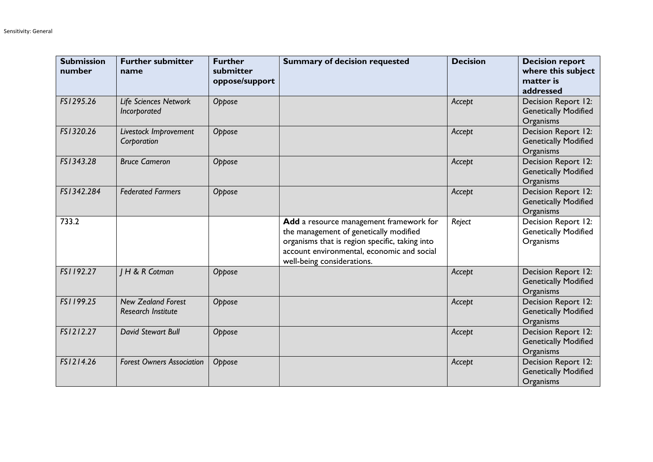| <b>Submission</b><br>number | <b>Further submitter</b><br>name                       | <b>Further</b><br>submitter<br>oppose/support | <b>Summary of decision requested</b>                                                                                                                                                                            | <b>Decision</b> | <b>Decision report</b><br>where this subject<br>matter is<br>addressed |
|-----------------------------|--------------------------------------------------------|-----------------------------------------------|-----------------------------------------------------------------------------------------------------------------------------------------------------------------------------------------------------------------|-----------------|------------------------------------------------------------------------|
| FS1295.26                   | Life Sciences Network<br>Incorporated                  | Oppose                                        |                                                                                                                                                                                                                 | Accept          | Decision Report 12:<br><b>Genetically Modified</b><br>Organisms        |
| FS1320.26                   | Livestock Improvement<br>Corporation                   | Oppose                                        |                                                                                                                                                                                                                 | Accept          | Decision Report 12:<br><b>Genetically Modified</b><br>Organisms        |
| FS1343.28                   | <b>Bruce Cameron</b>                                   | Oppose                                        |                                                                                                                                                                                                                 | Accept          | Decision Report 12:<br><b>Genetically Modified</b><br>Organisms        |
| FS1342.284                  | <b>Federated Farmers</b>                               | Oppose                                        |                                                                                                                                                                                                                 | Accept          | Decision Report 12:<br><b>Genetically Modified</b><br>Organisms        |
| 733.2                       |                                                        |                                               | Add a resource management framework for<br>the management of genetically modified<br>organisms that is region specific, taking into<br>account environmental, economic and social<br>well-being considerations. | Reject          | Decision Report 12:<br><b>Genetically Modified</b><br>Organisms        |
| FS1192.27                   | <b>IH &amp; R Cotman</b>                               | Oppose                                        |                                                                                                                                                                                                                 | Accept          | Decision Report 12:<br><b>Genetically Modified</b><br>Organisms        |
| FS1199.25                   | <b>New Zealand Forest</b><br><b>Research Institute</b> | Oppose                                        |                                                                                                                                                                                                                 | Accept          | Decision Report 12:<br><b>Genetically Modified</b><br>Organisms        |
| FS1212.27                   | <b>David Stewart Bull</b>                              | Oppose                                        |                                                                                                                                                                                                                 | Accept          | Decision Report 12:<br><b>Genetically Modified</b><br>Organisms        |
| FSI2I4.26                   | <b>Forest Owners Association</b>                       | Oppose                                        |                                                                                                                                                                                                                 | Accept          | Decision Report 12:<br><b>Genetically Modified</b><br>Organisms        |